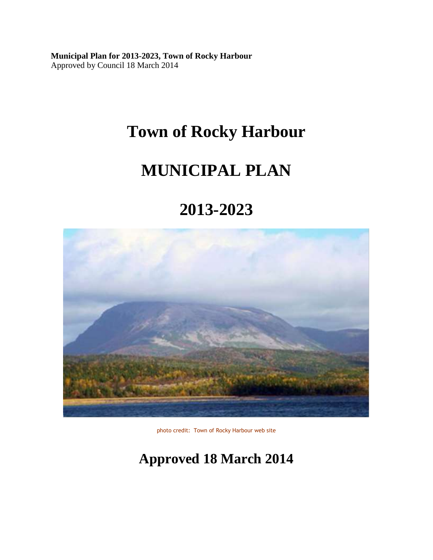**Municipal Plan for 2013-2023, Town of Rocky Harbour** Approved by Council 18 March 2014

# **Town of Rocky Harbour**

# **MUNICIPAL PLAN**

# **2013-2023**



photo credit: Town of Rocky Harbour web site

# **Approved 18 March 2014**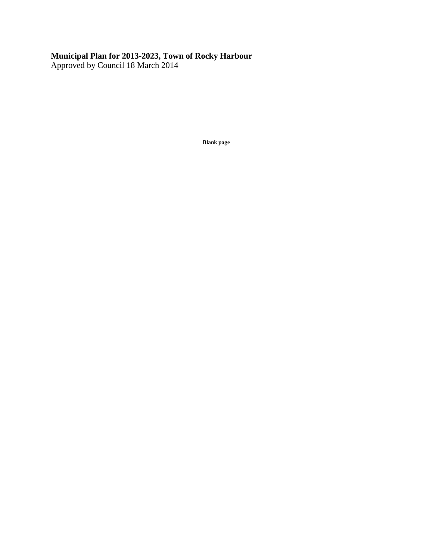Approved by Council 18 March 2014

**Blank page**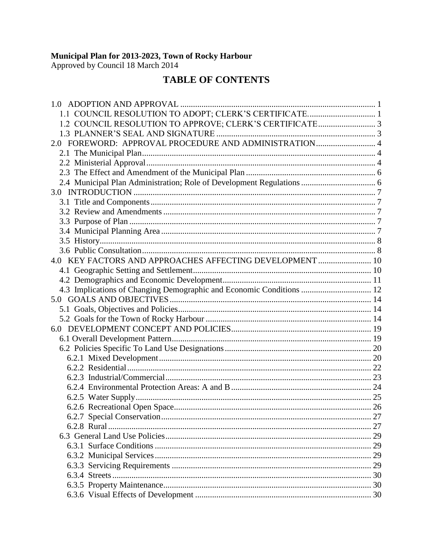# Municipal Plan for 2013-2023, Town of Rocky Harbour<br>Approved by Council 18 March 2014

# **TABLE OF CONTENTS**

| 1.1 COUNCIL RESOLUTION TO ADOPT; CLERK'S CERTIFICATE 1               |  |
|----------------------------------------------------------------------|--|
| 1.2 COUNCIL RESOLUTION TO APPROVE; CLERK'S CERTIFICATE 3             |  |
|                                                                      |  |
| 2.0 FOREWORD: APPROVAL PROCEDURE AND ADMINISTRATION 4                |  |
|                                                                      |  |
|                                                                      |  |
|                                                                      |  |
|                                                                      |  |
|                                                                      |  |
|                                                                      |  |
|                                                                      |  |
|                                                                      |  |
|                                                                      |  |
|                                                                      |  |
|                                                                      |  |
| 4.0 KEY FACTORS AND APPROACHES AFFECTING DEVELOPMENT  10             |  |
|                                                                      |  |
|                                                                      |  |
| 4.3 Implications of Changing Demographic and Economic Conditions  12 |  |
|                                                                      |  |
|                                                                      |  |
|                                                                      |  |
|                                                                      |  |
|                                                                      |  |
|                                                                      |  |
|                                                                      |  |
|                                                                      |  |
|                                                                      |  |
|                                                                      |  |
|                                                                      |  |
|                                                                      |  |
|                                                                      |  |
|                                                                      |  |
|                                                                      |  |
|                                                                      |  |
|                                                                      |  |
|                                                                      |  |
|                                                                      |  |
|                                                                      |  |
|                                                                      |  |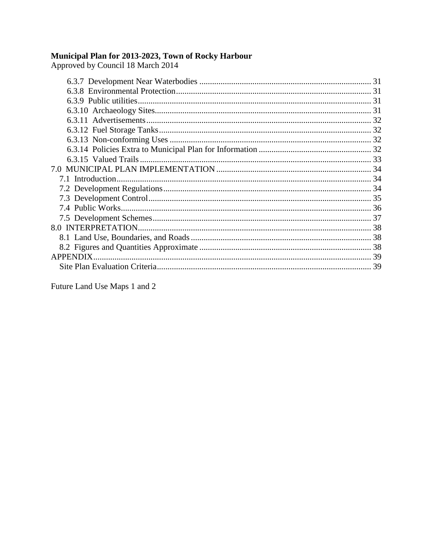# Municipal Plan for 2013-2023, Town of Rocky Harbour<br>Approved by Council 18 March 2014

| APPENDIX |  |
|----------|--|
|          |  |
|          |  |

Future Land Use Maps 1 and 2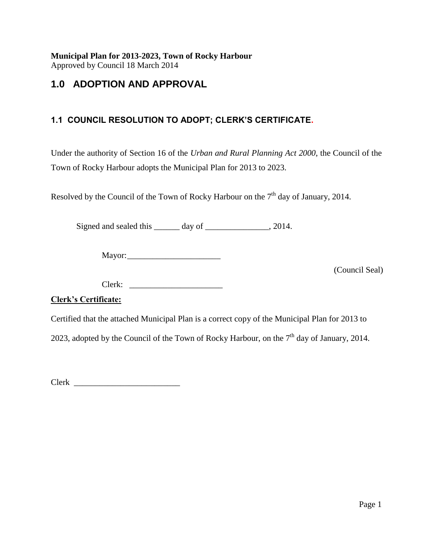**Municipal Plan for 2013-2023, Town of Rocky Harbour** Approved by Council 18 March 2014

# <span id="page-4-0"></span>**1.0 ADOPTION AND APPROVAL**

# <span id="page-4-1"></span>**1.1 COUNCIL RESOLUTION TO ADOPT; CLERK'S CERTIFICATE.**

Under the authority of Section 16 of the *Urban and Rural Planning Act 2000*, the Council of the Town of Rocky Harbour adopts the Municipal Plan for 2013 to 2023.

Resolved by the Council of the Town of Rocky Harbour on the  $7<sup>th</sup>$  day of January, 2014.

Signed and sealed this \_\_\_\_\_\_ day of \_\_\_\_\_\_\_\_\_\_\_\_\_, 2014.

Mayor:\_\_\_\_\_\_\_\_\_\_\_\_\_\_\_\_\_\_\_\_\_\_

(Council Seal)

Clerk: \_\_\_\_\_\_\_\_\_\_\_\_\_\_\_\_\_\_\_\_\_\_

# **Clerk's Certificate:**

Certified that the attached Municipal Plan is a correct copy of the Municipal Plan for 2013 to

2023, adopted by the Council of the Town of Rocky Harbour, on the  $7<sup>th</sup>$  day of January, 2014.

Clerk \_\_\_\_\_\_\_\_\_\_\_\_\_\_\_\_\_\_\_\_\_\_\_\_\_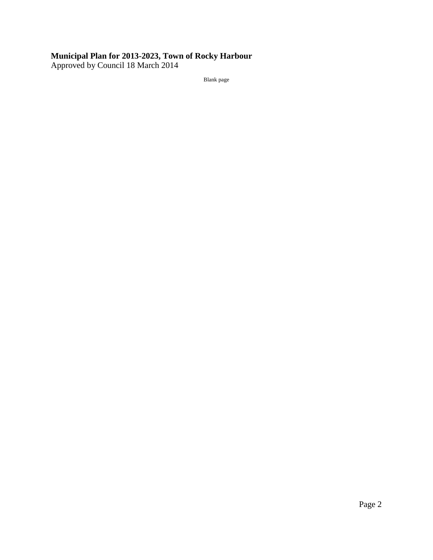Approved by Council 18 March 2014

Blank page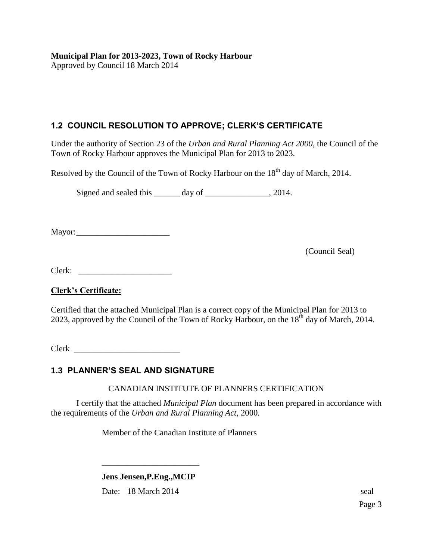# <span id="page-6-0"></span>**1.2 COUNCIL RESOLUTION TO APPROVE; CLERK'S CERTIFICATE**

Under the authority of Section 23 of the *Urban and Rural Planning Act 2000*, the Council of the Town of Rocky Harbour approves the Municipal Plan for 2013 to 2023.

Resolved by the Council of the Town of Rocky Harbour on the 18<sup>th</sup> day of March, 2014.

Signed and sealed this \_\_\_\_\_\_ day of \_\_\_\_\_\_\_\_\_\_\_\_\_, 2014.

Mayor:\_\_\_\_\_\_\_\_\_\_\_\_\_\_\_\_\_\_\_\_\_\_

(Council Seal)

Clerk: \_\_\_\_\_\_\_\_\_\_\_\_\_\_\_\_\_\_\_\_\_\_

# **Clerk's Certificate:**

Certified that the attached Municipal Plan is a correct copy of the Municipal Plan for 2013 to 2023, approved by the Council of the Town of Rocky Harbour, on the  $18<sup>th</sup>$  day of March, 2014.

Clerk \_\_\_\_\_\_\_\_\_\_\_\_\_\_\_\_\_\_\_\_\_\_\_\_\_

# <span id="page-6-1"></span>**1.3 PLANNER'S SEAL AND SIGNATURE**

# CANADIAN INSTITUTE OF PLANNERS CERTIFICATION

I certify that the attached *Municipal Plan* document has been prepared in accordance with the requirements of the *Urban and Rural Planning Act*, 2000*.*

Member of the Canadian Institute of Planners

**Jens Jensen,P.Eng.,MCIP** Date: 18 March 2014 seal

\_\_\_\_\_\_\_\_\_\_\_\_\_\_\_\_\_\_\_\_\_\_\_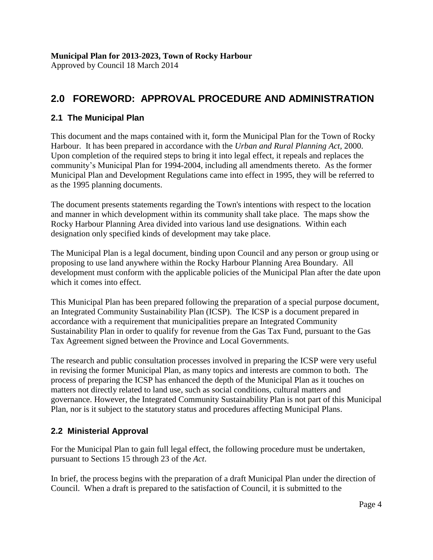Approved by Council 18 March 2014

# <span id="page-7-0"></span>**2.0 FOREWORD: APPROVAL PROCEDURE AND ADMINISTRATION**

# <span id="page-7-1"></span>**2.1 The Municipal Plan**

This document and the maps contained with it, form the Municipal Plan for the Town of Rocky Harbour. It has been prepared in accordance with the *Urban and Rural Planning Act*, 2000. Upon completion of the required steps to bring it into legal effect, it repeals and replaces the community's Municipal Plan for 1994-2004, including all amendments thereto. As the former Municipal Plan and Development Regulations came into effect in 1995, they will be referred to as the 1995 planning documents.

The document presents statements regarding the Town's intentions with respect to the location and manner in which development within its community shall take place. The maps show the Rocky Harbour Planning Area divided into various land use designations. Within each designation only specified kinds of development may take place.

The Municipal Plan is a legal document, binding upon Council and any person or group using or proposing to use land anywhere within the Rocky Harbour Planning Area Boundary. All development must conform with the applicable policies of the Municipal Plan after the date upon which it comes into effect.

This Municipal Plan has been prepared following the preparation of a special purpose document, an Integrated Community Sustainability Plan (ICSP). The ICSP is a document prepared in accordance with a requirement that municipalities prepare an Integrated Community Sustainability Plan in order to qualify for revenue from the Gas Tax Fund, pursuant to the Gas Tax Agreement signed between the Province and Local Governments.

The research and public consultation processes involved in preparing the ICSP were very useful in revising the former Municipal Plan, as many topics and interests are common to both. The process of preparing the ICSP has enhanced the depth of the Municipal Plan as it touches on matters not directly related to land use, such as social conditions, cultural matters and governance. However, the Integrated Community Sustainability Plan is not part of this Municipal Plan, nor is it subject to the statutory status and procedures affecting Municipal Plans.

# <span id="page-7-2"></span>**2.2 Ministerial Approval**

For the Municipal Plan to gain full legal effect, the following procedure must be undertaken, pursuant to Sections 15 through 23 of the *Act*.

In brief, the process begins with the preparation of a draft Municipal Plan under the direction of Council. When a draft is prepared to the satisfaction of Council, it is submitted to the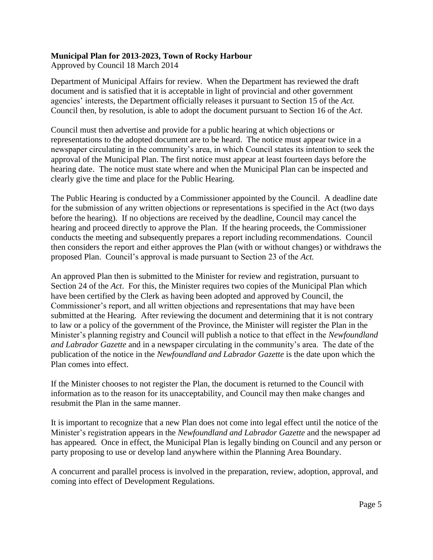Approved by Council 18 March 2014

Department of Municipal Affairs for review. When the Department has reviewed the draft document and is satisfied that it is acceptable in light of provincial and other government agencies' interests, the Department officially releases it pursuant to Section 15 of the *Act.* Council then, by resolution, is able to adopt the document pursuant to Section 16 of the *Act*.

Council must then advertise and provide for a public hearing at which objections or representations to the adopted document are to be heard. The notice must appear twice in a newspaper circulating in the community's area, in which Council states its intention to seek the approval of the Municipal Plan. The first notice must appear at least fourteen days before the hearing date. The notice must state where and when the Municipal Plan can be inspected and clearly give the time and place for the Public Hearing.

The Public Hearing is conducted by a Commissioner appointed by the Council. A deadline date for the submission of any written objections or representations is specified in the Act (two days before the hearing). If no objections are received by the deadline, Council may cancel the hearing and proceed directly to approve the Plan. If the hearing proceeds, the Commissioner conducts the meeting and subsequently prepares a report including recommendations. Council then considers the report and either approves the Plan (with or without changes) or withdraws the proposed Plan. Council's approval is made pursuant to Section 23 of the *Act.*

An approved Plan then is submitted to the Minister for review and registration, pursuant to Section 24 of the *Act*. For this, the Minister requires two copies of the Municipal Plan which have been certified by the Clerk as having been adopted and approved by Council, the Commissioner's report, and all written objections and representations that may have been submitted at the Hearing. After reviewing the document and determining that it is not contrary to law or a policy of the government of the Province, the Minister will register the Plan in the Minister's planning registry and Council will publish a notice to that effect in the *Newfoundland and Labrador Gazette* and in a newspaper circulating in the community's area. The date of the publication of the notice in the *Newfoundland and Labrador Gazette* is the date upon which the Plan comes into effect.

If the Minister chooses to not register the Plan, the document is returned to the Council with information as to the reason for its unacceptability, and Council may then make changes and resubmit the Plan in the same manner.

It is important to recognize that a new Plan does not come into legal effect until the notice of the Minister's registration appears in the *Newfoundland and Labrador Gazette* and the newspaper ad has appeared*.* Once in effect, the Municipal Plan is legally binding on Council and any person or party proposing to use or develop land anywhere within the Planning Area Boundary.

A concurrent and parallel process is involved in the preparation, review, adoption, approval, and coming into effect of Development Regulations.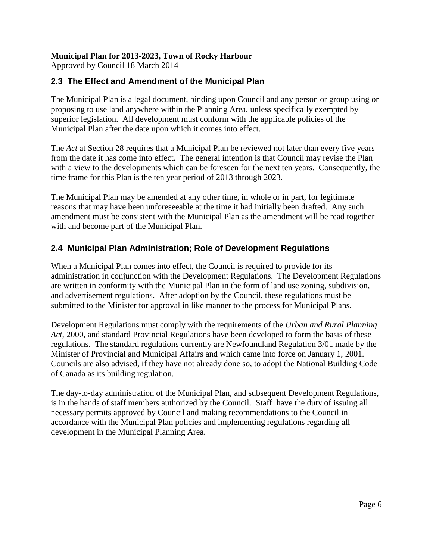Approved by Council 18 March 2014

# <span id="page-9-0"></span>**2.3 The Effect and Amendment of the Municipal Plan**

The Municipal Plan is a legal document, binding upon Council and any person or group using or proposing to use land anywhere within the Planning Area, unless specifically exempted by superior legislation. All development must conform with the applicable policies of the Municipal Plan after the date upon which it comes into effect.

The *Act* at Section 28 requires that a Municipal Plan be reviewed not later than every five years from the date it has come into effect. The general intention is that Council may revise the Plan with a view to the developments which can be foreseen for the next ten years. Consequently, the time frame for this Plan is the ten year period of 2013 through 2023.

The Municipal Plan may be amended at any other time, in whole or in part, for legitimate reasons that may have been unforeseeable at the time it had initially been drafted. Any such amendment must be consistent with the Municipal Plan as the amendment will be read together with and become part of the Municipal Plan.

# <span id="page-9-1"></span>**2.4 Municipal Plan Administration; Role of Development Regulations**

When a Municipal Plan comes into effect, the Council is required to provide for its administration in conjunction with the Development Regulations. The Development Regulations are written in conformity with the Municipal Plan in the form of land use zoning, subdivision, and advertisement regulations. After adoption by the Council, these regulations must be submitted to the Minister for approval in like manner to the process for Municipal Plans.

Development Regulations must comply with the requirements of the *Urban and Rural Planning Act*, 2000, and standard Provincial Regulations have been developed to form the basis of these regulations. The standard regulations currently are Newfoundland Regulation 3/01 made by the Minister of Provincial and Municipal Affairs and which came into force on January 1, 2001. Councils are also advised, if they have not already done so, to adopt the National Building Code of Canada as its building regulation.

The day-to-day administration of the Municipal Plan, and subsequent Development Regulations, is in the hands of staff members authorized by the Council. Staff have the duty of issuing all necessary permits approved by Council and making recommendations to the Council in accordance with the Municipal Plan policies and implementing regulations regarding all development in the Municipal Planning Area.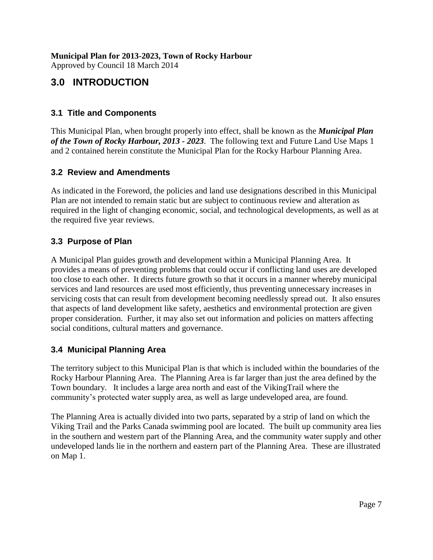Approved by Council 18 March 2014

# <span id="page-10-0"></span>**3.0 INTRODUCTION**

# <span id="page-10-1"></span>**3.1 Title and Components**

This Municipal Plan, when brought properly into effect, shall be known as the *Municipal Plan of the Town of Rocky Harbour, 2013 - 2023*. The following text and Future Land Use Maps 1 and 2 contained herein constitute the Municipal Plan for the Rocky Harbour Planning Area.

# <span id="page-10-2"></span>**3.2 Review and Amendments**

As indicated in the Foreword, the policies and land use designations described in this Municipal Plan are not intended to remain static but are subject to continuous review and alteration as required in the light of changing economic, social, and technological developments, as well as at the required five year reviews.

# <span id="page-10-3"></span>**3.3 Purpose of Plan**

A Municipal Plan guides growth and development within a Municipal Planning Area. It provides a means of preventing problems that could occur if conflicting land uses are developed too close to each other. It directs future growth so that it occurs in a manner whereby municipal services and land resources are used most efficiently, thus preventing unnecessary increases in servicing costs that can result from development becoming needlessly spread out. It also ensures that aspects of land development like safety, aesthetics and environmental protection are given proper consideration. Further, it may also set out information and policies on matters affecting social conditions, cultural matters and governance.

# <span id="page-10-4"></span>**3.4 Municipal Planning Area**

The territory subject to this Municipal Plan is that which is included within the boundaries of the Rocky Harbour Planning Area. The Planning Area is far larger than just the area defined by the Town boundary. It includes a large area north and east of the VikingTrail where the community's protected water supply area, as well as large undeveloped area, are found.

The Planning Area is actually divided into two parts, separated by a strip of land on which the Viking Trail and the Parks Canada swimming pool are located. The built up community area lies in the southern and western part of the Planning Area, and the community water supply and other undeveloped lands lie in the northern and eastern part of the Planning Area. These are illustrated on Map 1.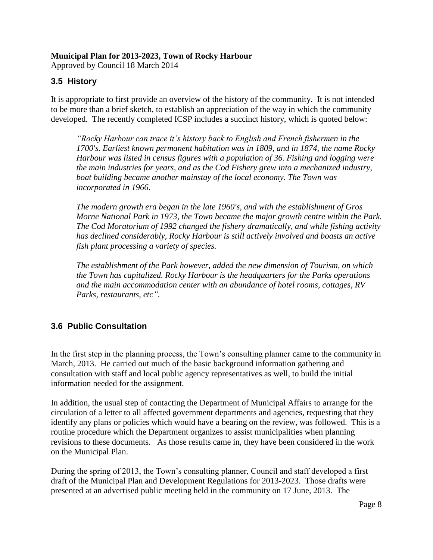Approved by Council 18 March 2014

## <span id="page-11-0"></span>**3.5 History**

It is appropriate to first provide an overview of the history of the community. It is not intended to be more than a brief sketch, to establish an appreciation of the way in which the community developed. The recently completed ICSP includes a succinct history, which is quoted below:

*"Rocky Harbour can trace it's history back to English and French fishermen in the 1700's. Earliest known permanent habitation was in 1809, and in 1874, the name Rocky Harbour was listed in census figures with a population of 36. Fishing and logging were the main industries for years, and as the Cod Fishery grew into a mechanized industry, boat building became another mainstay of the local economy. The Town was incorporated in 1966.*

*The modern growth era began in the late 1960's, and with the establishment of Gros Morne National Park in 1973, the Town became the major growth centre within the Park. The Cod Moratorium of 1992 changed the fishery dramatically, and while fishing activity has declined considerably, Rocky Harbour is still actively involved and boasts an active fish plant processing a variety of species.*

*The establishment of the Park however, added the new dimension of Tourism, on which the Town has capitalized. Rocky Harbour is the headquarters for the Parks operations and the main accommodation center with an abundance of hotel rooms, cottages, RV Parks, restaurants, etc".*

#### <span id="page-11-1"></span>**3.6 Public Consultation**

In the first step in the planning process, the Town's consulting planner came to the community in March, 2013. He carried out much of the basic background information gathering and consultation with staff and local public agency representatives as well, to build the initial information needed for the assignment.

In addition, the usual step of contacting the Department of Municipal Affairs to arrange for the circulation of a letter to all affected government departments and agencies, requesting that they identify any plans or policies which would have a bearing on the review, was followed. This is a routine procedure which the Department organizes to assist municipalities when planning revisions to these documents. As those results came in, they have been considered in the work on the Municipal Plan.

During the spring of 2013, the Town's consulting planner, Council and staff developed a first draft of the Municipal Plan and Development Regulations for 2013-2023. Those drafts were presented at an advertised public meeting held in the community on 17 June, 2013. The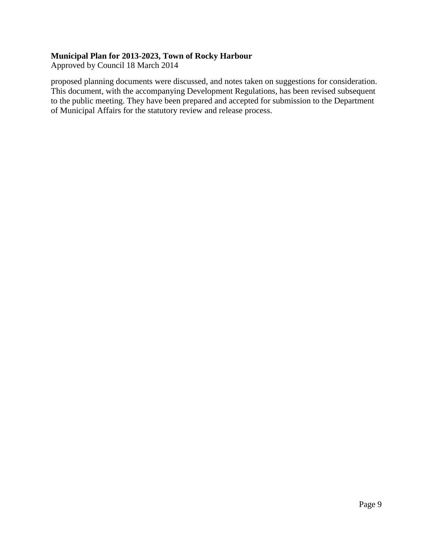Approved by Council 18 March 2014

proposed planning documents were discussed, and notes taken on suggestions for consideration. This document, with the accompanying Development Regulations, has been revised subsequent to the public meeting. They have been prepared and accepted for submission to the Department of Municipal Affairs for the statutory review and release process.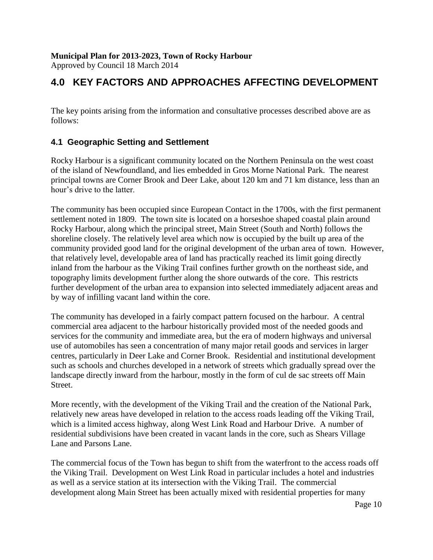Approved by Council 18 March 2014

# <span id="page-13-0"></span>**4.0 KEY FACTORS AND APPROACHES AFFECTING DEVELOPMENT**

The key points arising from the information and consultative processes described above are as follows:

# <span id="page-13-1"></span>**4.1 Geographic Setting and Settlement**

Rocky Harbour is a significant community located on the Northern Peninsula on the west coast of the island of Newfoundland, and lies embedded in Gros Morne National Park. The nearest principal towns are Corner Brook and Deer Lake, about 120 km and 71 km distance, less than an hour's drive to the latter.

The community has been occupied since European Contact in the 1700s, with the first permanent settlement noted in 1809. The town site is located on a horseshoe shaped coastal plain around Rocky Harbour, along which the principal street, Main Street (South and North) follows the shoreline closely. The relatively level area which now is occupied by the built up area of the community provided good land for the original development of the urban area of town. However, that relatively level, developable area of land has practically reached its limit going directly inland from the harbour as the Viking Trail confines further growth on the northeast side, and topography limits development further along the shore outwards of the core. This restricts further development of the urban area to expansion into selected immediately adjacent areas and by way of infilling vacant land within the core.

The community has developed in a fairly compact pattern focused on the harbour. A central commercial area adjacent to the harbour historically provided most of the needed goods and services for the community and immediate area, but the era of modern highways and universal use of automobiles has seen a concentration of many major retail goods and services in larger centres, particularly in Deer Lake and Corner Brook. Residential and institutional development such as schools and churches developed in a network of streets which gradually spread over the landscape directly inward from the harbour, mostly in the form of cul de sac streets off Main Street.

More recently, with the development of the Viking Trail and the creation of the National Park, relatively new areas have developed in relation to the access roads leading off the Viking Trail, which is a limited access highway, along West Link Road and Harbour Drive. A number of residential subdivisions have been created in vacant lands in the core, such as Shears Village Lane and Parsons Lane.

The commercial focus of the Town has begun to shift from the waterfront to the access roads off the Viking Trail. Development on West Link Road in particular includes a hotel and industries as well as a service station at its intersection with the Viking Trail. The commercial development along Main Street has been actually mixed with residential properties for many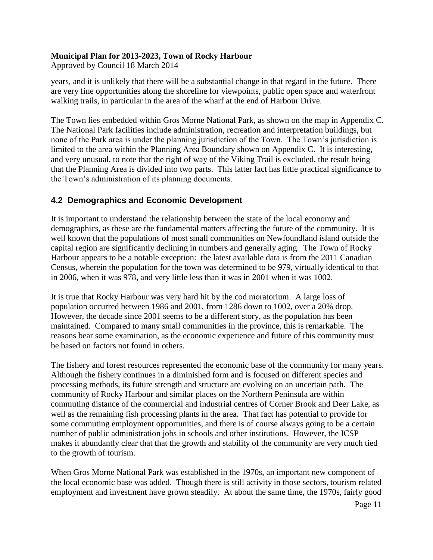Approved by Council 18 March 2014

years, and it is unlikely that there will be a substantial change in that regard in the future. There are very fine opportunities along the shoreline for viewpoints, public open space and waterfront walking trails, in particular in the area of the wharf at the end of Harbour Drive.

The Town lies embedded within Gros Morne National Park, as shown on the map in Appendix C. The National Park facilities include administration, recreation and interpretation buildings, but none of the Park area is under the planning jurisdiction of the Town. The Town's jurisdiction is limited to the area within the Planning Area Boundary shown on Appendix C. It is interesting, and very unusual, to note that the right of way of the Viking Trail is excluded, the result being that the Planning Area is divided into two parts. This latter fact has little practical significance to the Town's administration of its planning documents.

# <span id="page-14-0"></span>**4.2 Demographics and Economic Development**

It is important to understand the relationship between the state of the local economy and demographics, as these are the fundamental matters affecting the future of the community. It is well known that the populations of most small communities on Newfoundland island outside the capital region are significantly declining in numbers and generally aging. The Town of Rocky Harbour appears to be a notable exception: the latest available data is from the 2011 Canadian Census, wherein the population for the town was determined to be 979, virtually identical to that in 2006, when it was 978, and very little less than it was in 2001 when it was 1002.

It is true that Rocky Harbour was very hard hit by the cod moratorium. A large loss of population occurred between 1986 and 2001, from 1286 down to 1002, over a 20% drop. However, the decade since 2001 seems to be a different story, as the population has been maintained. Compared to many small communities in the province, this is remarkable. The reasons bear some examination, as the economic experience and future of this community must be based on factors not found in others.

The fishery and forest resources represented the economic base of the community for many years. Although the fishery continues in a diminished form and is focused on different species and processing methods, its future strength and structure are evolving on an uncertain path. The community of Rocky Harbour and similar places on the Northern Peninsula are within commuting distance of the commercial and industrial centres of Corner Brook and Deer Lake, as well as the remaining fish processing plants in the area. That fact has potential to provide for some commuting employment opportunities, and there is of course always going to be a certain number of public administration jobs in schools and other institutions. However, the ICSP makes it abundantly clear that that the growth and stability of the community are very much tied to the growth of tourism.

When Gros Morne National Park was established in the 1970s, an important new component of the local economic base was added. Though there is still activity in those sectors, tourism related employment and investment have grown steadily. At about the same time, the 1970s, fairly good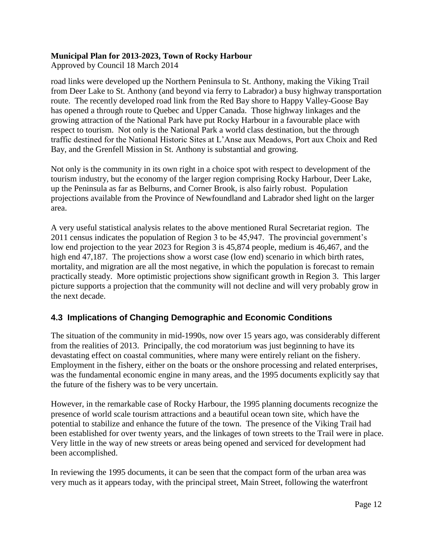Approved by Council 18 March 2014

road links were developed up the Northern Peninsula to St. Anthony, making the Viking Trail from Deer Lake to St. Anthony (and beyond via ferry to Labrador) a busy highway transportation route. The recently developed road link from the Red Bay shore to Happy Valley-Goose Bay has opened a through route to Quebec and Upper Canada. Those highway linkages and the growing attraction of the National Park have put Rocky Harbour in a favourable place with respect to tourism. Not only is the National Park a world class destination, but the through traffic destined for the National Historic Sites at L'Anse aux Meadows, Port aux Choix and Red Bay, and the Grenfell Mission in St. Anthony is substantial and growing.

Not only is the community in its own right in a choice spot with respect to development of the tourism industry, but the economy of the larger region comprising Rocky Harbour, Deer Lake, up the Peninsula as far as Belburns, and Corner Brook, is also fairly robust. Population projections available from the Province of Newfoundland and Labrador shed light on the larger area.

A very useful statistical analysis relates to the above mentioned Rural Secretariat region. The 2011 census indicates the population of Region 3 to be 45,947. The provincial government's low end projection to the year 2023 for Region 3 is 45,874 people, medium is 46,467, and the high end 47,187. The projections show a worst case (low end) scenario in which birth rates, mortality, and migration are all the most negative, in which the population is forecast to remain practically steady. More optimistic projections show significant growth in Region 3. This larger picture supports a projection that the community will not decline and will very probably grow in the next decade.

# <span id="page-15-0"></span>**4.3 Implications of Changing Demographic and Economic Conditions**

The situation of the community in mid-1990s, now over 15 years ago, was considerably different from the realities of 2013. Principally, the cod moratorium was just beginning to have its devastating effect on coastal communities, where many were entirely reliant on the fishery. Employment in the fishery, either on the boats or the onshore processing and related enterprises, was the fundamental economic engine in many areas, and the 1995 documents explicitly say that the future of the fishery was to be very uncertain.

However, in the remarkable case of Rocky Harbour, the 1995 planning documents recognize the presence of world scale tourism attractions and a beautiful ocean town site, which have the potential to stabilize and enhance the future of the town. The presence of the Viking Trail had been established for over twenty years, and the linkages of town streets to the Trail were in place. Very little in the way of new streets or areas being opened and serviced for development had been accomplished.

In reviewing the 1995 documents, it can be seen that the compact form of the urban area was very much as it appears today, with the principal street, Main Street, following the waterfront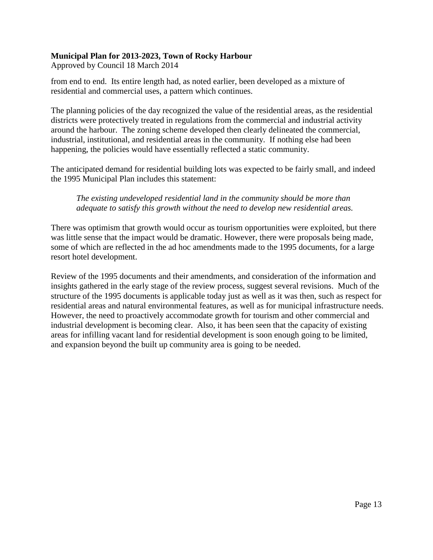Approved by Council 18 March 2014

from end to end. Its entire length had, as noted earlier, been developed as a mixture of residential and commercial uses, a pattern which continues.

The planning policies of the day recognized the value of the residential areas, as the residential districts were protectively treated in regulations from the commercial and industrial activity around the harbour. The zoning scheme developed then clearly delineated the commercial, industrial, institutional, and residential areas in the community. If nothing else had been happening, the policies would have essentially reflected a static community.

The anticipated demand for residential building lots was expected to be fairly small, and indeed the 1995 Municipal Plan includes this statement:

*The existing undeveloped residential land in the community should be more than adequate to satisfy this growth without the need to develop new residential areas.*

There was optimism that growth would occur as tourism opportunities were exploited, but there was little sense that the impact would be dramatic. However, there were proposals being made, some of which are reflected in the ad hoc amendments made to the 1995 documents, for a large resort hotel development.

Review of the 1995 documents and their amendments, and consideration of the information and insights gathered in the early stage of the review process, suggest several revisions. Much of the structure of the 1995 documents is applicable today just as well as it was then, such as respect for residential areas and natural environmental features, as well as for municipal infrastructure needs. However, the need to proactively accommodate growth for tourism and other commercial and industrial development is becoming clear. Also, it has been seen that the capacity of existing areas for infilling vacant land for residential development is soon enough going to be limited, and expansion beyond the built up community area is going to be needed.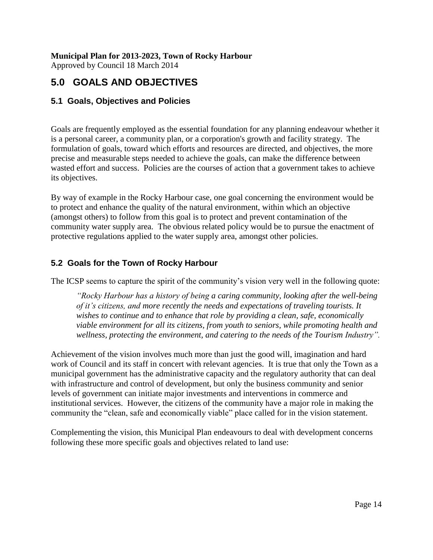Approved by Council 18 March 2014

# <span id="page-17-0"></span>**5.0 GOALS AND OBJECTIVES**

# <span id="page-17-1"></span>**5.1 Goals, Objectives and Policies**

Goals are frequently employed as the essential foundation for any planning endeavour whether it is a personal career, a community plan, or a corporation's growth and facility strategy. The formulation of goals, toward which efforts and resources are directed, and objectives, the more precise and measurable steps needed to achieve the goals, can make the difference between wasted effort and success. Policies are the courses of action that a government takes to achieve its objectives.

By way of example in the Rocky Harbour case, one goal concerning the environment would be to protect and enhance the quality of the natural environment, within which an objective (amongst others) to follow from this goal is to protect and prevent contamination of the community water supply area. The obvious related policy would be to pursue the enactment of protective regulations applied to the water supply area, amongst other policies.

# <span id="page-17-2"></span>**5.2 Goals for the Town of Rocky Harbour**

The ICSP seems to capture the spirit of the community's vision very well in the following quote:

*"Rocky Harbour has a history of being a caring community, looking after the well-being of it's citizens, and more recently the needs and expectations of traveling tourists. It wishes to continue and to enhance that role by providing a clean, safe, economically viable environment for all its citizens, from youth to seniors, while promoting health and wellness, protecting the environment, and catering to the needs of the Tourism Industry".*

Achievement of the vision involves much more than just the good will, imagination and hard work of Council and its staff in concert with relevant agencies. It is true that only the Town as a municipal government has the administrative capacity and the regulatory authority that can deal with infrastructure and control of development, but only the business community and senior levels of government can initiate major investments and interventions in commerce and institutional services. However, the citizens of the community have a major role in making the community the "clean, safe and economically viable" place called for in the vision statement.

Complementing the vision, this Municipal Plan endeavours to deal with development concerns following these more specific goals and objectives related to land use: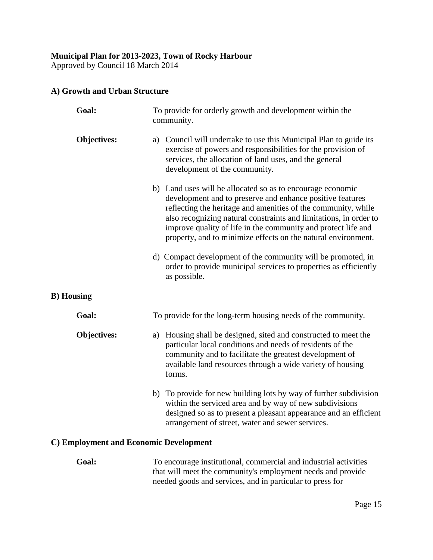Approved by Council 18 March 2014

# **A) Growth and Urban Structure**

| Goal:                                         | To provide for orderly growth and development within the<br>community.                                                                                                                                                                                                                                                                                                                          |
|-----------------------------------------------|-------------------------------------------------------------------------------------------------------------------------------------------------------------------------------------------------------------------------------------------------------------------------------------------------------------------------------------------------------------------------------------------------|
| Objectives:                                   | a) Council will undertake to use this Municipal Plan to guide its<br>exercise of powers and responsibilities for the provision of<br>services, the allocation of land uses, and the general<br>development of the community.                                                                                                                                                                    |
|                                               | b) Land uses will be allocated so as to encourage economic<br>development and to preserve and enhance positive features<br>reflecting the heritage and amenities of the community, while<br>also recognizing natural constraints and limitations, in order to<br>improve quality of life in the community and protect life and<br>property, and to minimize effects on the natural environment. |
|                                               | d) Compact development of the community will be promoted, in<br>order to provide municipal services to properties as efficiently<br>as possible.                                                                                                                                                                                                                                                |
| <b>B</b> ) Housing                            |                                                                                                                                                                                                                                                                                                                                                                                                 |
| Goal:                                         | To provide for the long-term housing needs of the community.                                                                                                                                                                                                                                                                                                                                    |
| <b>Objectives:</b>                            | a) Housing shall be designed, sited and constructed to meet the<br>particular local conditions and needs of residents of the<br>community and to facilitate the greatest development of<br>available land resources through a wide variety of housing<br>forms.                                                                                                                                 |
|                                               | b) To provide for new building lots by way of further subdivision<br>within the serviced area and by way of new subdivisions<br>designed so as to present a pleasant appearance and an efficient<br>arrangement of street, water and sewer services.                                                                                                                                            |
| <b>C) Employment and Economic Development</b> |                                                                                                                                                                                                                                                                                                                                                                                                 |
| $C_{\Omega}$                                  | To encourage institutional commercial and industrial activities                                                                                                                                                                                                                                                                                                                                 |

Goal: To encourage institutional, commercial and industrial activities that will meet the community's employment needs and provide needed goods and services, and in particular to press for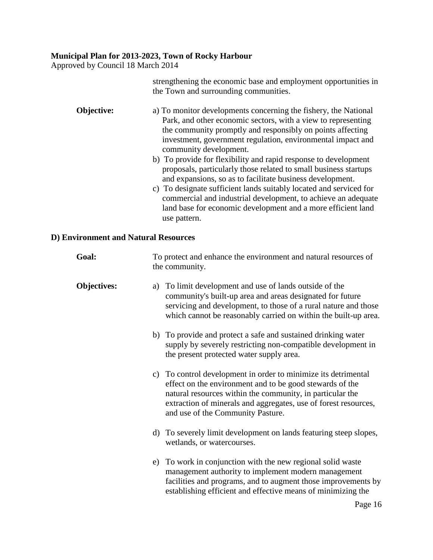Approved by Council 18 March 2014

|            | strengthening the economic base and employment opportunities in<br>the Town and surrounding communities.                                                                                                                                                                                                                                                                                                                                                                                                                                                                                                                                                                                                           |
|------------|--------------------------------------------------------------------------------------------------------------------------------------------------------------------------------------------------------------------------------------------------------------------------------------------------------------------------------------------------------------------------------------------------------------------------------------------------------------------------------------------------------------------------------------------------------------------------------------------------------------------------------------------------------------------------------------------------------------------|
| Objective: | a) To monitor developments concerning the fishery, the National<br>Park, and other economic sectors, with a view to representing<br>the community promptly and responsibly on points affecting<br>investment, government regulation, environmental impact and<br>community development.<br>b) To provide for flexibility and rapid response to development<br>proposals, particularly those related to small business startups<br>and expansions, so as to facilitate business development.<br>c) To designate sufficient lands suitably located and serviced for<br>commercial and industrial development, to achieve an adequate<br>land base for economic development and a more efficient land<br>use pattern. |

# **D) Environment and Natural Resources**

| Goal:              | To protect and enhance the environment and natural resources of<br>the community.                                                                                                                                                                                                               |
|--------------------|-------------------------------------------------------------------------------------------------------------------------------------------------------------------------------------------------------------------------------------------------------------------------------------------------|
| <b>Objectives:</b> | To limit development and use of lands outside of the<br>a)<br>community's built-up area and areas designated for future<br>servicing and development, to those of a rural nature and those<br>which cannot be reasonably carried on within the built-up area.                                   |
|                    | b) To provide and protect a safe and sustained drinking water<br>supply by severely restricting non-compatible development in<br>the present protected water supply area.                                                                                                                       |
|                    | c) To control development in order to minimize its detrimental<br>effect on the environment and to be good stewards of the<br>natural resources within the community, in particular the<br>extraction of minerals and aggregates, use of forest resources,<br>and use of the Community Pasture. |
|                    | d) To severely limit development on lands featuring steep slopes,<br>wetlands, or watercourses.                                                                                                                                                                                                 |
|                    | e) To work in conjunction with the new regional solid waste<br>management authority to implement modern management<br>facilities and programs, and to augment those improvements by<br>establishing efficient and effective means of minimizing the                                             |
|                    | Page 16                                                                                                                                                                                                                                                                                         |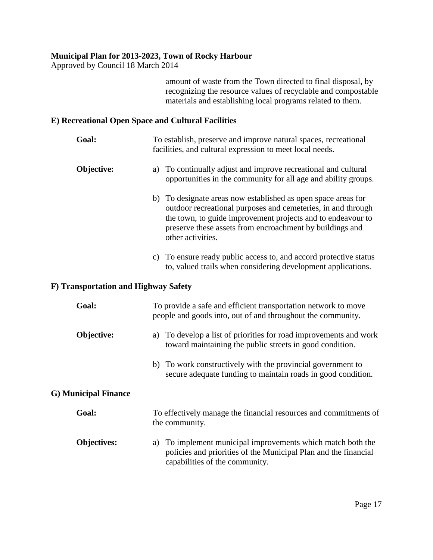Approved by Council 18 March 2014

amount of waste from the Town directed to final disposal, by recognizing the resource values of recyclable and compostable materials and establishing local programs related to them.

## **E) Recreational Open Space and Cultural Facilities**

| <b>Goal:</b> | To establish, preserve and improve natural spaces, recreational<br>facilities, and cultural expression to meet local needs.                                                                                                                                                   |
|--------------|-------------------------------------------------------------------------------------------------------------------------------------------------------------------------------------------------------------------------------------------------------------------------------|
| Objective:   | a) To continually adjust and improve recreational and cultural<br>opportunities in the community for all age and ability groups.                                                                                                                                              |
|              | b) To designate areas now established as open space areas for<br>outdoor recreational purposes and cemeteries, in and through<br>the town, to guide improvement projects and to endeavour to<br>preserve these assets from encroachment by buildings and<br>other activities. |
|              | c) To ensure ready public access to, and accord protective status<br>to, valued trails when considering development applications.                                                                                                                                             |

#### **F) Transportation and Highway Safety**

| Goal:                | To provide a safe and efficient transportation network to move<br>people and goods into, out of and throughout the community.                                    |
|----------------------|------------------------------------------------------------------------------------------------------------------------------------------------------------------|
| Objective:           | a) To develop a list of priorities for road improvements and work<br>toward maintaining the public streets in good condition.                                    |
|                      | b) To work constructively with the provincial government to<br>secure adequate funding to maintain roads in good condition.                                      |
| G) Municipal Finance |                                                                                                                                                                  |
| Goal:                | To effectively manage the financial resources and commitments of<br>the community.                                                                               |
| Objectives:          | a) To implement municipal improvements which match both the<br>policies and priorities of the Municipal Plan and the financial<br>capabilities of the community. |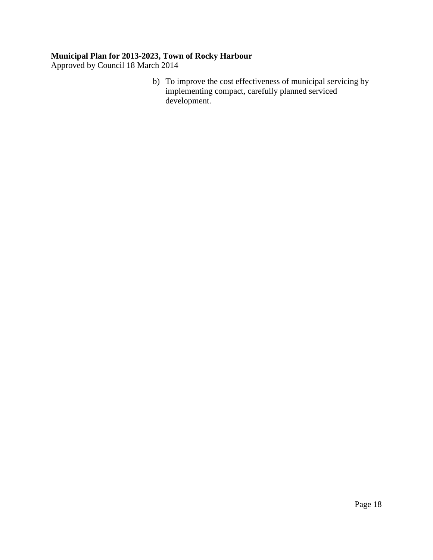Approved by Council 18 March 2014

b) To improve the cost effectiveness of municipal servicing by implementing compact, carefully planned serviced development.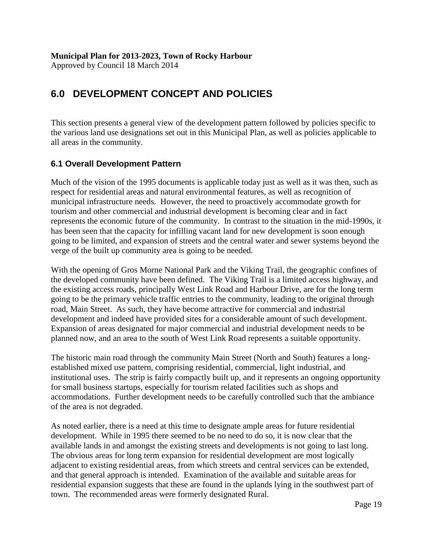Approved by Council 18 March 2014

# <span id="page-22-0"></span>**6.0 DEVELOPMENT CONCEPT AND POLICIES**

This section presents a general view of the development pattern followed by policies specific to the various land use designations set out in this Municipal Plan, as well as policies applicable to all areas in the community.

#### <span id="page-22-1"></span>**6.1 Overall Development Pattern**

Much of the vision of the 1995 documents is applicable today just as well as it was then, such as respect for residential areas and natural environmental features, as well as recognition of municipal infrastructure needs. However, the need to proactively accommodate growth for tourism and other commercial and industrial development is becoming clear and in fact represents the economic future of the community. In contrast to the situation in the mid-1990s, it has been seen that the capacity for infilling vacant land for new development is soon enough going to be limited, and expansion of streets and the central water and sewer systems beyond the verge of the built up community area is going to be needed.

With the opening of Gros Morne National Park and the Viking Trail, the geographic confines of the developed community have been defined. The Viking Trail is a limited access highway, and the existing access roads, principally West Link Road and Harbour Drive, are for the long term going to be the primary vehicle traffic entries to the community, leading to the original through road, Main Street. As such, they have become attractive for commercial and industrial development and indeed have provided sites for a considerable amount of such development. Expansion of areas designated for major commercial and industrial development needs to be planned now, and an area to the south of West Link Road represents a suitable opportunity.

The historic main road through the community Main Street (North and South) features a longestablished mixed use pattern, comprising residential, commercial, light industrial, and institutional uses. The strip is fairly compactly built up, and it represents an ongoing opportunity for small business startups, especially for tourism related facilities such as shops and accommodations. Further development needs to be carefully controlled such that the ambiance of the area is not degraded.

As noted earlier, there is a need at this time to designate ample areas for future residential development. While in 1995 there seemed to be no need to do so, it is now clear that the available lands in and amongst the existing streets and developments is not going to last long. The obvious areas for long term expansion for residential development are most logically adjacent to existing residential areas, from which streets and central services can be extended, and that general approach is intended. Examination of the available and suitable areas for residential expansion suggests that these are found in the uplands lying in the southwest part of town. The recommended areas were formerly designated Rural.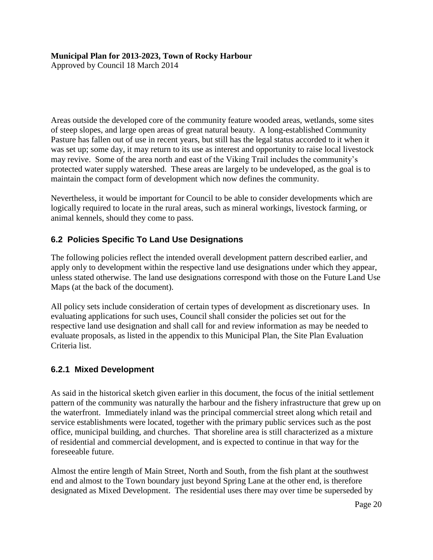Approved by Council 18 March 2014

Areas outside the developed core of the community feature wooded areas, wetlands, some sites of steep slopes, and large open areas of great natural beauty. A long-established Community Pasture has fallen out of use in recent years, but still has the legal status accorded to it when it was set up; some day, it may return to its use as interest and opportunity to raise local livestock may revive. Some of the area north and east of the Viking Trail includes the community's protected water supply watershed. These areas are largely to be undeveloped, as the goal is to maintain the compact form of development which now defines the community.

Nevertheless, it would be important for Council to be able to consider developments which are logically required to locate in the rural areas, such as mineral workings, livestock farming, or animal kennels, should they come to pass.

# <span id="page-23-0"></span>**6.2 Policies Specific To Land Use Designations**

The following policies reflect the intended overall development pattern described earlier, and apply only to development within the respective land use designations under which they appear, unless stated otherwise. The land use designations correspond with those on the Future Land Use Maps (at the back of the document).

All policy sets include consideration of certain types of development as discretionary uses. In evaluating applications for such uses, Council shall consider the policies set out for the respective land use designation and shall call for and review information as may be needed to evaluate proposals, as listed in the appendix to this Municipal Plan, the Site Plan Evaluation Criteria list.

# <span id="page-23-1"></span>**6.2.1 Mixed Development**

As said in the historical sketch given earlier in this document, the focus of the initial settlement pattern of the community was naturally the harbour and the fishery infrastructure that grew up on the waterfront. Immediately inland was the principal commercial street along which retail and service establishments were located, together with the primary public services such as the post office, municipal building, and churches. That shoreline area is still characterized as a mixture of residential and commercial development, and is expected to continue in that way for the foreseeable future.

Almost the entire length of Main Street, North and South, from the fish plant at the southwest end and almost to the Town boundary just beyond Spring Lane at the other end, is therefore designated as Mixed Development. The residential uses there may over time be superseded by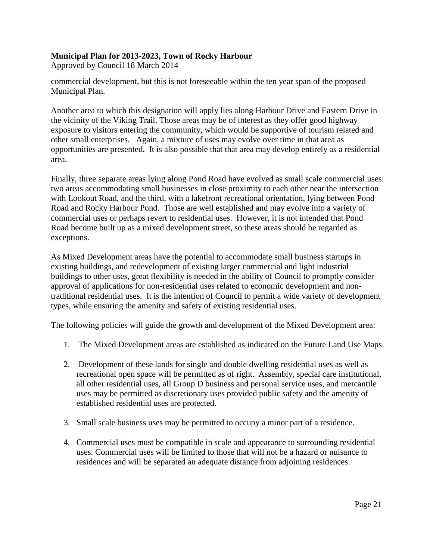Approved by Council 18 March 2014

commercial development, but this is not foreseeable within the ten year span of the proposed Municipal Plan.

Another area to which this designation will apply lies along Harbour Drive and Eastern Drive in the vicinity of the Viking Trail. Those areas may be of interest as they offer good highway exposure to visitors entering the community, which would be supportive of tourism related and other small enterprises. Again, a mixture of uses may evolve over time in that area as opportunities are presented. It is also possible that that area may develop entirely as a residential area.

Finally, three separate areas lying along Pond Road have evolved as small scale commercial uses: two areas accommodating small businesses in close proximity to each other near the intersection with Lookout Road, and the third, with a lakefront recreational orientation, lying between Pond Road and Rocky Harbour Pond. Those are well established and may evolve into a variety of commercial uses or perhaps revert to residential uses. However, it is not intended that Pond Road become built up as a mixed development street, so these areas should be regarded as exceptions.

As Mixed Development areas have the potential to accommodate small business startups in existing buildings, and redevelopment of existing larger commercial and light industrial buildings to other uses, great flexibility is needed in the ability of Council to promptly consider approval of applications for non-residential uses related to economic development and nontraditional residential uses. It is the intention of Council to permit a wide variety of development types, while ensuring the amenity and safety of existing residential uses.

The following policies will guide the growth and development of the Mixed Development area:

- 1. The Mixed Development areas are established as indicated on the Future Land Use Maps.
- 2. Development of these lands for single and double dwelling residential uses as well as recreational open space will be permitted as of right. Assembly, special care institutional, all other residential uses, all Group D business and personal service uses, and mercantile uses may be permitted as discretionary uses provided public safety and the amenity of established residential uses are protected.
- 3. Small scale business uses may be permitted to occupy a minor part of a residence.
- 4. Commercial uses must be compatible in scale and appearance to surrounding residential uses. Commercial uses will be limited to those that will not be a hazard or nuisance to residences and will be separated an adequate distance from adjoining residences.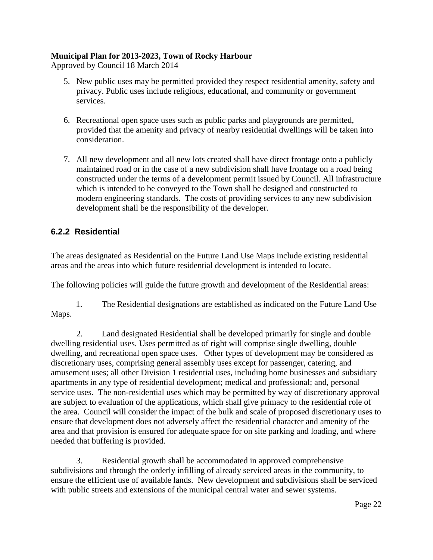Approved by Council 18 March 2014

- 5. New public uses may be permitted provided they respect residential amenity, safety and privacy. Public uses include religious, educational, and community or government services.
- 6. Recreational open space uses such as public parks and playgrounds are permitted, provided that the amenity and privacy of nearby residential dwellings will be taken into consideration.
- 7. All new development and all new lots created shall have direct frontage onto a publicly maintained road or in the case of a new subdivision shall have frontage on a road being constructed under the terms of a development permit issued by Council. All infrastructure which is intended to be conveyed to the Town shall be designed and constructed to modern engineering standards. The costs of providing services to any new subdivision development shall be the responsibility of the developer.

# <span id="page-25-0"></span>**6.2.2 Residential**

The areas designated as Residential on the Future Land Use Maps include existing residential areas and the areas into which future residential development is intended to locate.

The following policies will guide the future growth and development of the Residential areas:

1. The Residential designations are established as indicated on the Future Land Use Maps.

2. Land designated Residential shall be developed primarily for single and double dwelling residential uses. Uses permitted as of right will comprise single dwelling, double dwelling, and recreational open space uses. Other types of development may be considered as discretionary uses, comprising general assembly uses except for passenger, catering, and amusement uses; all other Division 1 residential uses, including home businesses and subsidiary apartments in any type of residential development; medical and professional; and, personal service uses. The non-residential uses which may be permitted by way of discretionary approval are subject to evaluation of the applications, which shall give primacy to the residential role of the area. Council will consider the impact of the bulk and scale of proposed discretionary uses to ensure that development does not adversely affect the residential character and amenity of the area and that provision is ensured for adequate space for on site parking and loading, and where needed that buffering is provided.

3. Residential growth shall be accommodated in approved comprehensive subdivisions and through the orderly infilling of already serviced areas in the community, to ensure the efficient use of available lands. New development and subdivisions shall be serviced with public streets and extensions of the municipal central water and sewer systems.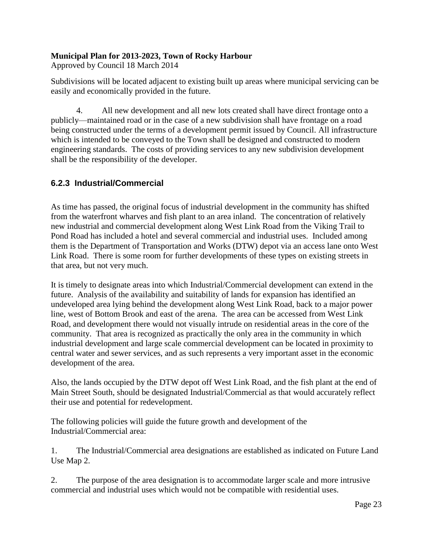Approved by Council 18 March 2014

Subdivisions will be located adjacent to existing built up areas where municipal servicing can be easily and economically provided in the future.

4. All new development and all new lots created shall have direct frontage onto a publicly—maintained road or in the case of a new subdivision shall have frontage on a road being constructed under the terms of a development permit issued by Council. All infrastructure which is intended to be conveyed to the Town shall be designed and constructed to modern engineering standards. The costs of providing services to any new subdivision development shall be the responsibility of the developer.

# <span id="page-26-0"></span>**6.2.3 Industrial/Commercial**

As time has passed, the original focus of industrial development in the community has shifted from the waterfront wharves and fish plant to an area inland. The concentration of relatively new industrial and commercial development along West Link Road from the Viking Trail to Pond Road has included a hotel and several commercial and industrial uses. Included among them is the Department of Transportation and Works (DTW) depot via an access lane onto West Link Road. There is some room for further developments of these types on existing streets in that area, but not very much.

It is timely to designate areas into which Industrial/Commercial development can extend in the future. Analysis of the availability and suitability of lands for expansion has identified an undeveloped area lying behind the development along West Link Road, back to a major power line, west of Bottom Brook and east of the arena. The area can be accessed from West Link Road, and development there would not visually intrude on residential areas in the core of the community. That area is recognized as practically the only area in the community in which industrial development and large scale commercial development can be located in proximity to central water and sewer services, and as such represents a very important asset in the economic development of the area.

Also, the lands occupied by the DTW depot off West Link Road, and the fish plant at the end of Main Street South, should be designated Industrial/Commercial as that would accurately reflect their use and potential for redevelopment.

The following policies will guide the future growth and development of the Industrial/Commercial area:

1. The Industrial/Commercial area designations are established as indicated on Future Land Use Map 2.

2. The purpose of the area designation is to accommodate larger scale and more intrusive commercial and industrial uses which would not be compatible with residential uses.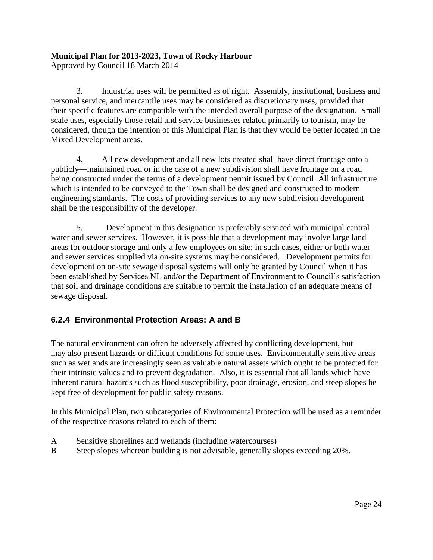Approved by Council 18 March 2014

3. Industrial uses will be permitted as of right. Assembly, institutional, business and personal service, and mercantile uses may be considered as discretionary uses, provided that their specific features are compatible with the intended overall purpose of the designation. Small scale uses, especially those retail and service businesses related primarily to tourism, may be considered, though the intention of this Municipal Plan is that they would be better located in the Mixed Development areas.

4. All new development and all new lots created shall have direct frontage onto a publicly—maintained road or in the case of a new subdivision shall have frontage on a road being constructed under the terms of a development permit issued by Council. All infrastructure which is intended to be conveyed to the Town shall be designed and constructed to modern engineering standards. The costs of providing services to any new subdivision development shall be the responsibility of the developer.

5. Development in this designation is preferably serviced with municipal central water and sewer services. However, it is possible that a development may involve large land areas for outdoor storage and only a few employees on site; in such cases, either or both water and sewer services supplied via on-site systems may be considered. Development permits for development on on-site sewage disposal systems will only be granted by Council when it has been established by Services NL and/or the Department of Environment to Council's satisfaction that soil and drainage conditions are suitable to permit the installation of an adequate means of sewage disposal.

# <span id="page-27-0"></span>**6.2.4 Environmental Protection Areas: A and B**

The natural environment can often be adversely affected by conflicting development, but may also present hazards or difficult conditions for some uses. Environmentally sensitive areas such as wetlands are increasingly seen as valuable natural assets which ought to be protected for their intrinsic values and to prevent degradation. Also, it is essential that all lands which have inherent natural hazards such as flood susceptibility, poor drainage, erosion, and steep slopes be kept free of development for public safety reasons.

In this Municipal Plan, two subcategories of Environmental Protection will be used as a reminder of the respective reasons related to each of them:

- A Sensitive shorelines and wetlands (including watercourses)
- B Steep slopes whereon building is not advisable, generally slopes exceeding 20%.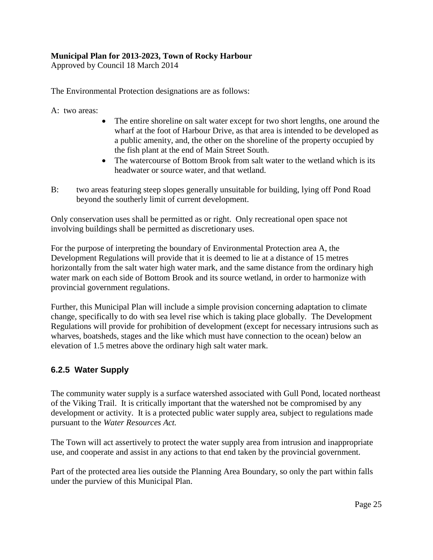Approved by Council 18 March 2014

The Environmental Protection designations are as follows:

A: two areas:

- The entire shoreline on salt water except for two short lengths, one around the wharf at the foot of Harbour Drive, as that area is intended to be developed as a public amenity, and, the other on the shoreline of the property occupied by the fish plant at the end of Main Street South.
- The watercourse of Bottom Brook from salt water to the wetland which is its headwater or source water, and that wetland.
- B: two areas featuring steep slopes generally unsuitable for building, lying off Pond Road beyond the southerly limit of current development.

Only conservation uses shall be permitted as or right. Only recreational open space not involving buildings shall be permitted as discretionary uses.

For the purpose of interpreting the boundary of Environmental Protection area A, the Development Regulations will provide that it is deemed to lie at a distance of 15 metres horizontally from the salt water high water mark, and the same distance from the ordinary high water mark on each side of Bottom Brook and its source wetland, in order to harmonize with provincial government regulations.

Further, this Municipal Plan will include a simple provision concerning adaptation to climate change, specifically to do with sea level rise which is taking place globally. The Development Regulations will provide for prohibition of development (except for necessary intrusions such as wharves, boatsheds, stages and the like which must have connection to the ocean) below an elevation of 1.5 metres above the ordinary high salt water mark.

# <span id="page-28-0"></span>**6.2.5 Water Supply**

The community water supply is a surface watershed associated with Gull Pond, located northeast of the Viking Trail. It is critically important that the watershed not be compromised by any development or activity. It is a protected public water supply area, subject to regulations made pursuant to the *Water Resources Act.* 

The Town will act assertively to protect the water supply area from intrusion and inappropriate use, and cooperate and assist in any actions to that end taken by the provincial government.

Part of the protected area lies outside the Planning Area Boundary, so only the part within falls under the purview of this Municipal Plan.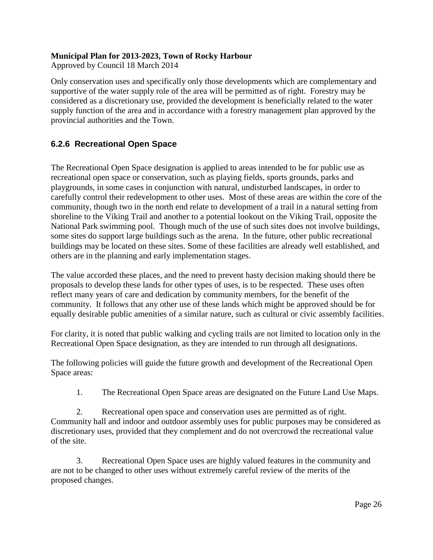Approved by Council 18 March 2014

Only conservation uses and specifically only those developments which are complementary and supportive of the water supply role of the area will be permitted as of right. Forestry may be considered as a discretionary use, provided the development is beneficially related to the water supply function of the area and in accordance with a forestry management plan approved by the provincial authorities and the Town.

# <span id="page-29-0"></span>**6.2.6 Recreational Open Space**

The Recreational Open Space designation is applied to areas intended to be for public use as recreational open space or conservation, such as playing fields, sports grounds, parks and playgrounds, in some cases in conjunction with natural, undisturbed landscapes, in order to carefully control their redevelopment to other uses. Most of these areas are within the core of the community, though two in the north end relate to development of a trail in a natural setting from shoreline to the Viking Trail and another to a potential lookout on the Viking Trail, opposite the National Park swimming pool. Though much of the use of such sites does not involve buildings, some sites do support large buildings such as the arena. In the future, other public recreational buildings may be located on these sites. Some of these facilities are already well established, and others are in the planning and early implementation stages.

The value accorded these places, and the need to prevent hasty decision making should there be proposals to develop these lands for other types of uses, is to be respected. These uses often reflect many years of care and dedication by community members, for the benefit of the community. It follows that any other use of these lands which might be approved should be for equally desirable public amenities of a similar nature, such as cultural or civic assembly facilities.

For clarity, it is noted that public walking and cycling trails are not limited to location only in the Recreational Open Space designation, as they are intended to run through all designations.

The following policies will guide the future growth and development of the Recreational Open Space areas:

1. The Recreational Open Space areas are designated on the Future Land Use Maps.

2. Recreational open space and conservation uses are permitted as of right. Community hall and indoor and outdoor assembly uses for public purposes may be considered as discretionary uses, provided that they complement and do not overcrowd the recreational value of the site.

3. Recreational Open Space uses are highly valued features in the community and are not to be changed to other uses without extremely careful review of the merits of the proposed changes.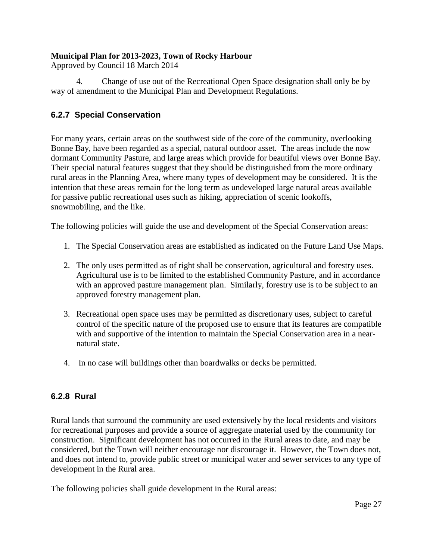Approved by Council 18 March 2014

4. Change of use out of the Recreational Open Space designation shall only be by way of amendment to the Municipal Plan and Development Regulations.

# <span id="page-30-0"></span>**6.2.7 Special Conservation**

For many years, certain areas on the southwest side of the core of the community, overlooking Bonne Bay, have been regarded as a special, natural outdoor asset. The areas include the now dormant Community Pasture, and large areas which provide for beautiful views over Bonne Bay. Their special natural features suggest that they should be distinguished from the more ordinary rural areas in the Planning Area, where many types of development may be considered. It is the intention that these areas remain for the long term as undeveloped large natural areas available for passive public recreational uses such as hiking, appreciation of scenic lookoffs, snowmobiling, and the like.

The following policies will guide the use and development of the Special Conservation areas:

- 1. The Special Conservation areas are established as indicated on the Future Land Use Maps.
- 2. The only uses permitted as of right shall be conservation, agricultural and forestry uses. Agricultural use is to be limited to the established Community Pasture, and in accordance with an approved pasture management plan. Similarly, forestry use is to be subject to an approved forestry management plan.
- 3. Recreational open space uses may be permitted as discretionary uses, subject to careful control of the specific nature of the proposed use to ensure that its features are compatible with and supportive of the intention to maintain the Special Conservation area in a nearnatural state.
- 4. In no case will buildings other than boardwalks or decks be permitted.

# <span id="page-30-1"></span>**6.2.8 Rural**

Rural lands that surround the community are used extensively by the local residents and visitors for recreational purposes and provide a source of aggregate material used by the community for construction. Significant development has not occurred in the Rural areas to date, and may be considered, but the Town will neither encourage nor discourage it. However, the Town does not, and does not intend to, provide public street or municipal water and sewer services to any type of development in the Rural area.

The following policies shall guide development in the Rural areas: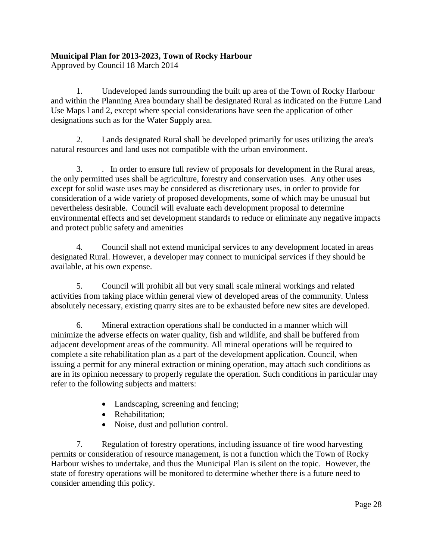Approved by Council 18 March 2014

1. Undeveloped lands surrounding the built up area of the Town of Rocky Harbour and within the Planning Area boundary shall be designated Rural as indicated on the Future Land Use Maps l and 2, except where special considerations have seen the application of other designations such as for the Water Supply area.

2. Lands designated Rural shall be developed primarily for uses utilizing the area's natural resources and land uses not compatible with the urban environment.

3. . In order to ensure full review of proposals for development in the Rural areas, the only permitted uses shall be agriculture, forestry and conservation uses. Any other uses except for solid waste uses may be considered as discretionary uses, in order to provide for consideration of a wide variety of proposed developments, some of which may be unusual but nevertheless desirable. Council will evaluate each development proposal to determine environmental effects and set development standards to reduce or eliminate any negative impacts and protect public safety and amenities

4. Council shall not extend municipal services to any development located in areas designated Rural. However, a developer may connect to municipal services if they should be available, at his own expense.

5. Council will prohibit all but very small scale mineral workings and related activities from taking place within general view of developed areas of the community. Unless absolutely necessary, existing quarry sites are to be exhausted before new sites are developed.

6. Mineral extraction operations shall be conducted in a manner which will minimize the adverse effects on water quality, fish and wildlife, and shall be buffered from adjacent development areas of the community. All mineral operations will be required to complete a site rehabilitation plan as a part of the development application. Council, when issuing a permit for any mineral extraction or mining operation, may attach such conditions as are in its opinion necessary to properly regulate the operation. Such conditions in particular may refer to the following subjects and matters:

- Landscaping, screening and fencing;
- Rehabilitation:
- Noise, dust and pollution control.

7. Regulation of forestry operations, including issuance of fire wood harvesting permits or consideration of resource management, is not a function which the Town of Rocky Harbour wishes to undertake, and thus the Municipal Plan is silent on the topic. However, the state of forestry operations will be monitored to determine whether there is a future need to consider amending this policy.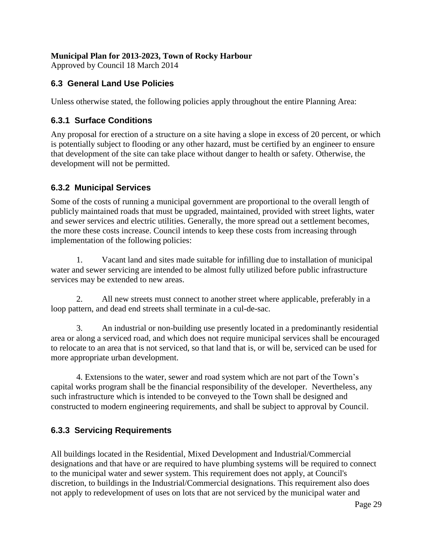Approved by Council 18 March 2014

# <span id="page-32-0"></span>**6.3 General Land Use Policies**

Unless otherwise stated, the following policies apply throughout the entire Planning Area:

# <span id="page-32-1"></span>**6.3.1 Surface Conditions**

Any proposal for erection of a structure on a site having a slope in excess of 20 percent, or which is potentially subject to flooding or any other hazard, must be certified by an engineer to ensure that development of the site can take place without danger to health or safety. Otherwise, the development will not be permitted.

# <span id="page-32-2"></span>**6.3.2 Municipal Services**

Some of the costs of running a municipal government are proportional to the overall length of publicly maintained roads that must be upgraded, maintained, provided with street lights, water and sewer services and electric utilities. Generally, the more spread out a settlement becomes, the more these costs increase. Council intends to keep these costs from increasing through implementation of the following policies:

1. Vacant land and sites made suitable for infilling due to installation of municipal water and sewer servicing are intended to be almost fully utilized before public infrastructure services may be extended to new areas.

2. All new streets must connect to another street where applicable, preferably in a loop pattern, and dead end streets shall terminate in a cul-de-sac.

3. An industrial or non-building use presently located in a predominantly residential area or along a serviced road, and which does not require municipal services shall be encouraged to relocate to an area that is not serviced, so that land that is, or will be, serviced can be used for more appropriate urban development.

4. Extensions to the water, sewer and road system which are not part of the Town's capital works program shall be the financial responsibility of the developer. Nevertheless, any such infrastructure which is intended to be conveyed to the Town shall be designed and constructed to modern engineering requirements, and shall be subject to approval by Council.

# <span id="page-32-3"></span>**6.3.3 Servicing Requirements**

All buildings located in the Residential, Mixed Development and Industrial/Commercial designations and that have or are required to have plumbing systems will be required to connect to the municipal water and sewer system. This requirement does not apply, at Council's discretion, to buildings in the Industrial/Commercial designations. This requirement also does not apply to redevelopment of uses on lots that are not serviced by the municipal water and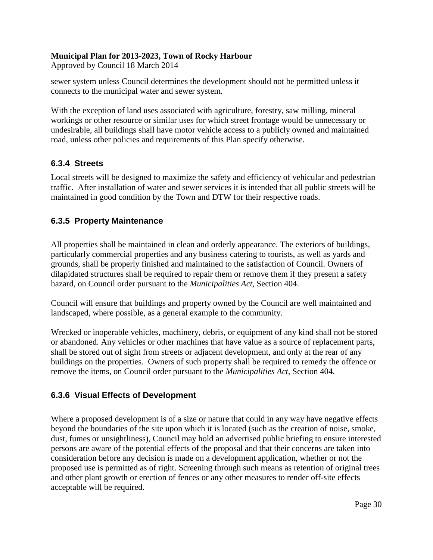Approved by Council 18 March 2014

sewer system unless Council determines the development should not be permitted unless it connects to the municipal water and sewer system.

With the exception of land uses associated with agriculture, forestry, saw milling, mineral workings or other resource or similar uses for which street frontage would be unnecessary or undesirable, all buildings shall have motor vehicle access to a publicly owned and maintained road, unless other policies and requirements of this Plan specify otherwise.

# <span id="page-33-0"></span>**6.3.4 Streets**

Local streets will be designed to maximize the safety and efficiency of vehicular and pedestrian traffic. After installation of water and sewer services it is intended that all public streets will be maintained in good condition by the Town and DTW for their respective roads.

# <span id="page-33-1"></span>**6.3.5 Property Maintenance**

All properties shall be maintained in clean and orderly appearance. The exteriors of buildings, particularly commercial properties and any business catering to tourists, as well as yards and grounds, shall be properly finished and maintained to the satisfaction of Council. Owners of dilapidated structures shall be required to repair them or remove them if they present a safety hazard, on Council order pursuant to the *Municipalities Act,* Section 404.

Council will ensure that buildings and property owned by the Council are well maintained and landscaped, where possible, as a general example to the community.

Wrecked or inoperable vehicles, machinery, debris, or equipment of any kind shall not be stored or abandoned. Any vehicles or other machines that have value as a source of replacement parts, shall be stored out of sight from streets or adjacent development, and only at the rear of any buildings on the properties. Owners of such property shall be required to remedy the offence or remove the items, on Council order pursuant to the *Municipalities Act,* Section 404.

# <span id="page-33-2"></span>**6.3.6 Visual Effects of Development**

Where a proposed development is of a size or nature that could in any way have negative effects beyond the boundaries of the site upon which it is located (such as the creation of noise, smoke, dust, fumes or unsightliness), Council may hold an advertised public briefing to ensure interested persons are aware of the potential effects of the proposal and that their concerns are taken into consideration before any decision is made on a development application, whether or not the proposed use is permitted as of right. Screening through such means as retention of original trees and other plant growth or erection of fences or any other measures to render off-site effects acceptable will be required.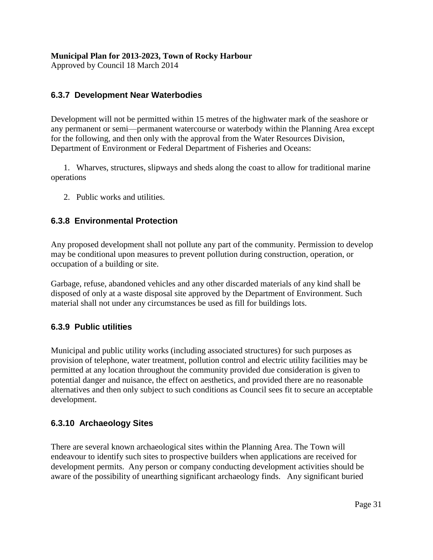Approved by Council 18 March 2014

# <span id="page-34-0"></span>**6.3.7 Development Near Waterbodies**

Development will not be permitted within 15 metres of the highwater mark of the seashore or any permanent or semi—permanent watercourse or waterbody within the Planning Area except for the following, and then only with the approval from the Water Resources Division, Department of Environment or Federal Department of Fisheries and Oceans:

1. Wharves, structures, slipways and sheds along the coast to allow for traditional marine operations

2. Public works and utilities.

# <span id="page-34-1"></span>**6.3.8 Environmental Protection**

Any proposed development shall not pollute any part of the community. Permission to develop may be conditional upon measures to prevent pollution during construction, operation, or occupation of a building or site.

Garbage, refuse, abandoned vehicles and any other discarded materials of any kind shall be disposed of only at a waste disposal site approved by the Department of Environment. Such material shall not under any circumstances be used as fill for buildings lots.

# <span id="page-34-2"></span>**6.3.9 Public utilities**

Municipal and public utility works (including associated structures) for such purposes as provision of telephone, water treatment, pollution control and electric utility facilities may be permitted at any location throughout the community provided due consideration is given to potential danger and nuisance, the effect on aesthetics, and provided there are no reasonable alternatives and then only subject to such conditions as Council sees fit to secure an acceptable development.

# <span id="page-34-3"></span>**6.3.10 Archaeology Sites**

There are several known archaeological sites within the Planning Area. The Town will endeavour to identify such sites to prospective builders when applications are received for development permits. Any person or company conducting development activities should be aware of the possibility of unearthing significant archaeology finds. Any significant buried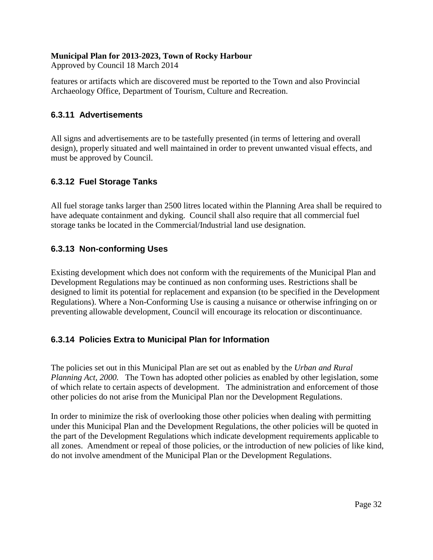Approved by Council 18 March 2014

features or artifacts which are discovered must be reported to the Town and also Provincial Archaeology Office, Department of Tourism, Culture and Recreation.

# <span id="page-35-0"></span>**6.3.11 Advertisements**

All signs and advertisements are to be tastefully presented (in terms of lettering and overall design), properly situated and well maintained in order to prevent unwanted visual effects, and must be approved by Council.

# <span id="page-35-1"></span>**6.3.12 Fuel Storage Tanks**

All fuel storage tanks larger than 2500 litres located within the Planning Area shall be required to have adequate containment and dyking. Council shall also require that all commercial fuel storage tanks be located in the Commercial/Industrial land use designation.

# <span id="page-35-2"></span>**6.3.13 Non-conforming Uses**

Existing development which does not conform with the requirements of the Municipal Plan and Development Regulations may be continued as non conforming uses. Restrictions shall be designed to limit its potential for replacement and expansion (to be specified in the Development Regulations). Where a Non-Conforming Use is causing a nuisance or otherwise infringing on or preventing allowable development, Council will encourage its relocation or discontinuance.

# <span id="page-35-3"></span>**6.3.14 Policies Extra to Municipal Plan for Information**

The policies set out in this Municipal Plan are set out as enabled by the *Urban and Rural Planning Act, 2000.* The Town has adopted other policies as enabled by other legislation, some of which relate to certain aspects of development. The administration and enforcement of those other policies do not arise from the Municipal Plan nor the Development Regulations.

In order to minimize the risk of overlooking those other policies when dealing with permitting under this Municipal Plan and the Development Regulations, the other policies will be quoted in the part of the Development Regulations which indicate development requirements applicable to all zones. Amendment or repeal of those policies, or the introduction of new policies of like kind, do not involve amendment of the Municipal Plan or the Development Regulations.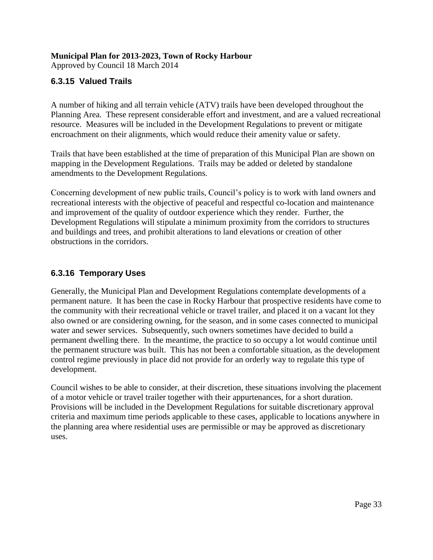Approved by Council 18 March 2014

# <span id="page-36-0"></span>**6.3.15 Valued Trails**

A number of hiking and all terrain vehicle (ATV) trails have been developed throughout the Planning Area. These represent considerable effort and investment, and are a valued recreational resource. Measures will be included in the Development Regulations to prevent or mitigate encroachment on their alignments, which would reduce their amenity value or safety.

Trails that have been established at the time of preparation of this Municipal Plan are shown on mapping in the Development Regulations. Trails may be added or deleted by standalone amendments to the Development Regulations.

Concerning development of new public trails, Council's policy is to work with land owners and recreational interests with the objective of peaceful and respectful co-location and maintenance and improvement of the quality of outdoor experience which they render. Further, the Development Regulations will stipulate a minimum proximity from the corridors to structures and buildings and trees, and prohibit alterations to land elevations or creation of other obstructions in the corridors.

# **6.3.16 Temporary Uses**

Generally, the Municipal Plan and Development Regulations contemplate developments of a permanent nature. It has been the case in Rocky Harbour that prospective residents have come to the community with their recreational vehicle or travel trailer, and placed it on a vacant lot they also owned or are considering owning, for the season, and in some cases connected to municipal water and sewer services. Subsequently, such owners sometimes have decided to build a permanent dwelling there. In the meantime, the practice to so occupy a lot would continue until the permanent structure was built. This has not been a comfortable situation, as the development control regime previously in place did not provide for an orderly way to regulate this type of development.

Council wishes to be able to consider, at their discretion, these situations involving the placement of a motor vehicle or travel trailer together with their appurtenances, for a short duration. Provisions will be included in the Development Regulations for suitable discretionary approval criteria and maximum time periods applicable to these cases, applicable to locations anywhere in the planning area where residential uses are permissible or may be approved as discretionary uses.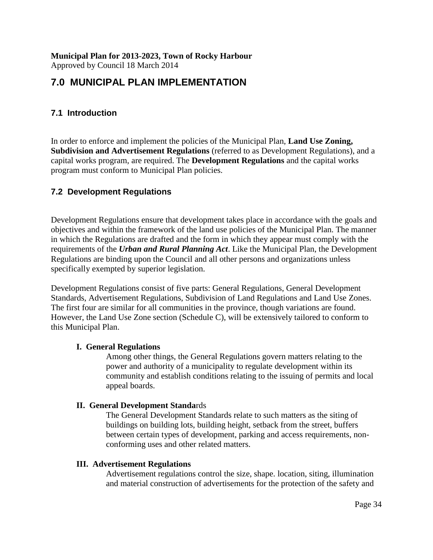Approved by Council 18 March 2014

# <span id="page-37-0"></span>**7.0 MUNICIPAL PLAN IMPLEMENTATION**

# <span id="page-37-1"></span>**7.1 Introduction**

In order to enforce and implement the policies of the Municipal Plan, **Land Use Zoning, Subdivision and Advertisement Regulations** (referred to as Development Regulations), and a capital works program, are required. The **Development Regulations** and the capital works program must conform to Municipal Plan policies.

# <span id="page-37-2"></span>**7.2 Development Regulations**

Development Regulations ensure that development takes place in accordance with the goals and objectives and within the framework of the land use policies of the Municipal Plan. The manner in which the Regulations are drafted and the form in which they appear must comply with the requirements of the *Urban and Rural Planning Act*. Like the Municipal Plan, the Development Regulations are binding upon the Council and all other persons and organizations unless specifically exempted by superior legislation.

Development Regulations consist of five parts: General Regulations, General Development Standards, Advertisement Regulations, Subdivision of Land Regulations and Land Use Zones. The first four are similar for all communities in the province, though variations are found. However, the Land Use Zone section (Schedule C), will be extensively tailored to conform to this Municipal Plan.

#### **I. General Regulations**

Among other things, the General Regulations govern matters relating to the power and authority of a municipality to regulate development within its community and establish conditions relating to the issuing of permits and local appeal boards.

#### **II. General Development Standa**rds

The General Development Standards relate to such matters as the siting of buildings on building lots, building height, setback from the street, buffers between certain types of development, parking and access requirements, nonconforming uses and other related matters.

#### **III. Advertisement Regulations**

Advertisement regulations control the size, shape. location, siting, illumination and material construction of advertisements for the protection of the safety and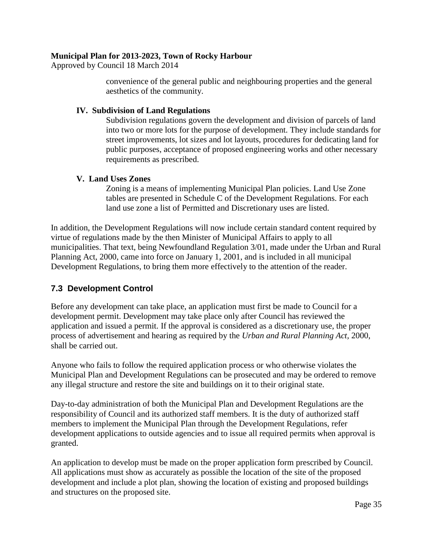Approved by Council 18 March 2014

convenience of the general public and neighbouring properties and the general aesthetics of the community.

## **IV. Subdivision of Land Regulations**

Subdivision regulations govern the development and division of parcels of land into two or more lots for the purpose of development. They include standards for street improvements, lot sizes and lot layouts, procedures for dedicating land for public purposes, acceptance of proposed engineering works and other necessary requirements as prescribed.

#### **V. Land Uses Zones**

Zoning is a means of implementing Municipal Plan policies. Land Use Zone tables are presented in Schedule C of the Development Regulations. For each land use zone a list of Permitted and Discretionary uses are listed.

In addition, the Development Regulations will now include certain standard content required by virtue of regulations made by the then Minister of Municipal Affairs to apply to all municipalities. That text, being Newfoundland Regulation 3/01, made under the Urban and Rural Planning Act, 2000, came into force on January 1, 2001, and is included in all municipal Development Regulations, to bring them more effectively to the attention of the reader.

# <span id="page-38-0"></span>**7.3 Development Control**

Before any development can take place, an application must first be made to Council for a development permit. Development may take place only after Council has reviewed the application and issued a permit. If the approval is considered as a discretionary use, the proper process of advertisement and hearing as required by the *Urban and Rural Planning Act,* 2000, shall be carried out.

Anyone who fails to follow the required application process or who otherwise violates the Municipal Plan and Development Regulations can be prosecuted and may be ordered to remove any illegal structure and restore the site and buildings on it to their original state.

Day-to-day administration of both the Municipal Plan and Development Regulations are the responsibility of Council and its authorized staff members. It is the duty of authorized staff members to implement the Municipal Plan through the Development Regulations, refer development applications to outside agencies and to issue all required permits when approval is granted.

An application to develop must be made on the proper application form prescribed by Council. All applications must show as accurately as possible the location of the site of the proposed development and include a plot plan, showing the location of existing and proposed buildings and structures on the proposed site.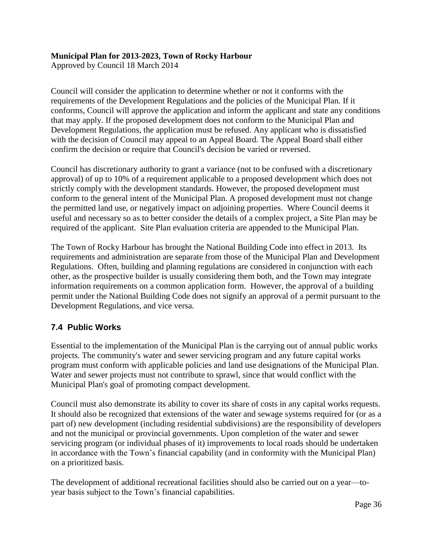Approved by Council 18 March 2014

Council will consider the application to determine whether or not it conforms with the requirements of the Development Regulations and the policies of the Municipal Plan. If it conforms, Council will approve the application and inform the applicant and state any conditions that may apply. If the proposed development does not conform to the Municipal Plan and Development Regulations, the application must be refused. Any applicant who is dissatisfied with the decision of Council may appeal to an Appeal Board. The Appeal Board shall either confirm the decision or require that Council's decision be varied or reversed.

Council has discretionary authority to grant a variance (not to be confused with a discretionary approval) of up to 10% of a requirement applicable to a proposed development which does not strictly comply with the development standards. However, the proposed development must conform to the general intent of the Municipal Plan. A proposed development must not change the permitted land use, or negatively impact on adjoining properties. Where Council deems it useful and necessary so as to better consider the details of a complex project, a Site Plan may be required of the applicant. Site Plan evaluation criteria are appended to the Municipal Plan.

The Town of Rocky Harbour has brought the National Building Code into effect in 2013. Its requirements and administration are separate from those of the Municipal Plan and Development Regulations. Often, building and planning regulations are considered in conjunction with each other, as the prospective builder is usually considering them both, and the Town may integrate information requirements on a common application form. However, the approval of a building permit under the National Building Code does not signify an approval of a permit pursuant to the Development Regulations, and vice versa.

# <span id="page-39-0"></span>**7.4 Public Works**

Essential to the implementation of the Municipal Plan is the carrying out of annual public works projects. The community's water and sewer servicing program and any future capital works program must conform with applicable policies and land use designations of the Municipal Plan. Water and sewer projects must not contribute to sprawl, since that would conflict with the Municipal Plan's goal of promoting compact development.

Council must also demonstrate its ability to cover its share of costs in any capital works requests. It should also be recognized that extensions of the water and sewage systems required for (or as a part of) new development (including residential subdivisions) are the responsibility of developers and not the municipal or provincial governments. Upon completion of the water and sewer servicing program (or individual phases of it) improvements to local roads should be undertaken in accordance with the Town's financial capability (and in conformity with the Municipal Plan) on a prioritized basis.

The development of additional recreational facilities should also be carried out on a year—toyear basis subject to the Town's financial capabilities.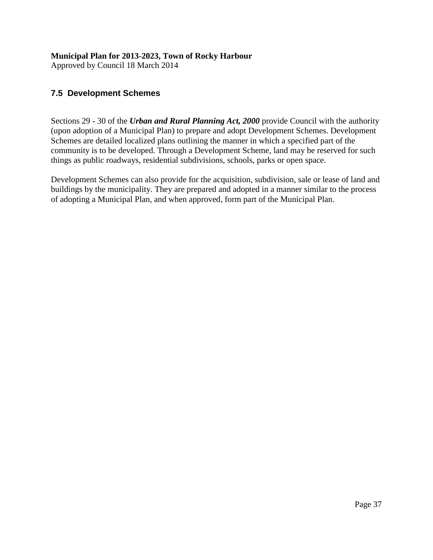Approved by Council 18 March 2014

# <span id="page-40-0"></span>**7.5 Development Schemes**

Sections 29 - 30 of the *Urban and Rural Planning Act, 2000* provide Council with the authority (upon adoption of a Municipal Plan) to prepare and adopt Development Schemes. Development Schemes are detailed localized plans outlining the manner in which a specified part of the community is to be developed. Through a Development Scheme, land may be reserved for such things as public roadways, residential subdivisions, schools, parks or open space.

Development Schemes can also provide for the acquisition, subdivision, sale or lease of land and buildings by the municipality. They are prepared and adopted in a manner similar to the process of adopting a Municipal Plan, and when approved, form part of the Municipal Plan.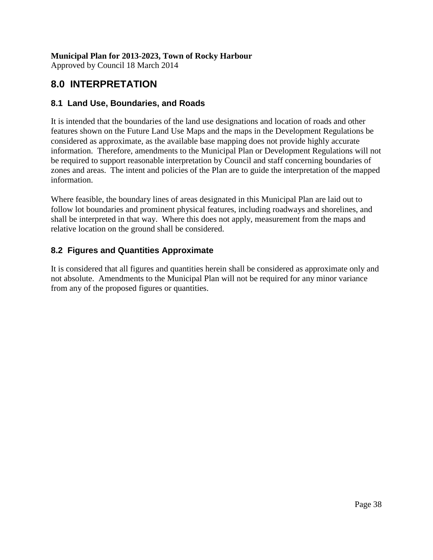Approved by Council 18 March 2014

# <span id="page-41-0"></span>**8.0 INTERPRETATION**

# <span id="page-41-1"></span>**8.1 Land Use, Boundaries, and Roads**

It is intended that the boundaries of the land use designations and location of roads and other features shown on the Future Land Use Maps and the maps in the Development Regulations be considered as approximate, as the available base mapping does not provide highly accurate information. Therefore, amendments to the Municipal Plan or Development Regulations will not be required to support reasonable interpretation by Council and staff concerning boundaries of zones and areas. The intent and policies of the Plan are to guide the interpretation of the mapped information.

Where feasible, the boundary lines of areas designated in this Municipal Plan are laid out to follow lot boundaries and prominent physical features, including roadways and shorelines, and shall be interpreted in that way. Where this does not apply, measurement from the maps and relative location on the ground shall be considered.

# <span id="page-41-2"></span>**8.2 Figures and Quantities Approximate**

It is considered that all figures and quantities herein shall be considered as approximate only and not absolute. Amendments to the Municipal Plan will not be required for any minor variance from any of the proposed figures or quantities.